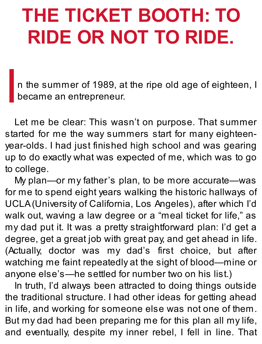## **THE TICKET BOOTH: TO RIDE OR NOT TO RIDE.**

**I**<br>b n the summer of 1989, at the ripe old age of eighteen, I became an entrepreneur.

Let me be clear: This wasn't on purpose. That summer started for me the way summers start for many eighteenyear-olds. I had just finished high school and was gearing up to do exactly what was expected of me, which was to go to college.

My plan—or my father's plan, to be more accurate—was for me to spend eight years walking the historic hallways of UCLA(University of California, Los Angeles), after which I'd walk out, waving a law degree or a "meal ticket for life," as my dad put it. It was a pretty straightforward plan: I'd get a degree, get a great job with great pay, and get ahead in life. (Actually, doctor was my dad's first choice, but after watching me faint repeatedly at the sight of blood—mine or anyone else's—he settled for number two on his list.)

In truth, I'd always been attracted to doing things outside the traditional structure. I had other ideas for getting ahead in life, and working for someone else was not one of them. But my dad had been preparing me for this plan all my life, and eventually, despite my inner rebel, I fell in line. That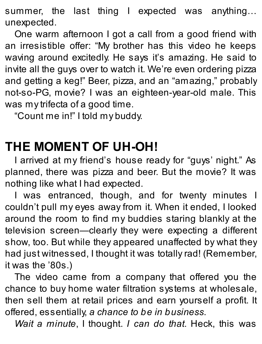summer, the last thing I expected was anything... unexpected.

One warm afternoon I got a call from a good friend with an irresistible offer: "My brother has this video he keeps waving around excitedly. He says it's amazing. He said to invite all the guys over to watch it. We're even ordering pizza and getting a keg!" Beer, pizza, and an "amazing," probably not-so-PG, movie? I was an eighteen-year-old male. This was my trifecta of a good time.

"Count me in!" I told my buddy.

## **THE MOMENT OF UH-OH!**

I arrived at my friend's house ready for "guys' night." As planned, there was pizza and beer. But the movie? It was nothing like what I had expected.

I was entranced, though, and for twenty minutes I couldn't pull my eyes away from it. When it ended, I looked around the room to find my buddies staring blankly at the television screen—clearly they were expecting a different show, too. But while they appeared unaffected by what they had just witnessed, I thought it was totally rad! (Remember, it was the '80s.)

The video came from a company that offered you the chance to buy home water filtration systems at wholesale, then sell them at retail prices and earn yourself a profit. It offered, essentially, *a chance to be in business*.

*Wait a minute*, I thought. *I can do that*. Heck, this was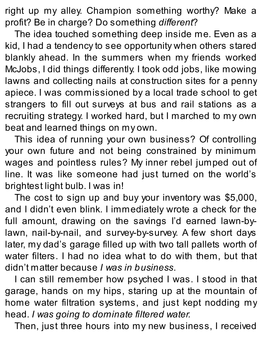right up my alley. Champion something worthy? Make a profit? Be in charge? Do something *different*?

The idea touched something deep inside me. Even as a kid, I had a tendency to see opportunity when others stared blankly ahead. In the summers when my friends worked McJobs, I did things differently. I took odd jobs, like mowing lawns and collecting nails at construction sites for a penny apiece. I was commissioned by a local trade school to get strangers to fill out surveys at bus and rail stations as a recruiting strategy. I worked hard, but I marched to my own beat and learned things on my own.

This idea of running your own business? Of controlling your own future and not being constrained by minimum wages and pointless rules? My inner rebel jumped out of line. It was like someone had just turned on the world's brightest light bulb. I was in!

The cost to sign up and buy your inventory was \$5,000, and I didn't even blink. I immediately wrote a check for the full amount, drawing on the savings I'd earned lawn-bylawn, nail-by-nail, and survey-by-survey. A few short days later, my dad's garage filled up with two tall pallets worth of water filters. I had no idea what to do with them, but that didn't matter because *I was in business*.

I can still remember how psyched I was. I stood in that garage, hands on my hips, staring up at the mountain of home water filtration systems, and just kept nodding my head. *I was going to dominate filtered water.*

Then, just three hours into my new business, I received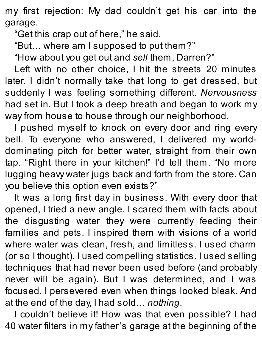my first rejection: My dad couldn't get his car into the garage.

"Get this crap out of here," he said.

"But… where am I supposed to put them?"

"How about you get out and *sell* them, Darren?"

Left with no other choice, I hit the streets 20 minutes later. I didn't normally take that long to get dressed, but suddenly I was feeling something different. *Nervousness* had set in. But I took a deep breath and began to work my way from house to house through our neighborhood.

I pushed myself to knock on every door and ring every bell. To everyone who answered, I delivered my worlddominating pitch for better water, straight from their own tap. "Right there in your kitchen!" I'd tell them. "No more lugging heavy water jugs back and forth from the store. Can you believe this option even exists?"

It was a long first day in business. With every door that opened, I tried a new angle. I scared them with facts about the disgusting water they were currently feeding their families and pets. I inspired them with visions of a world where water was clean, fresh, and limitless. I used charm (or so I thought). I used compelling statistics. I used selling techniques that had never been used before (and probably never will be again). But I was determined, and I was focused. I persevered even when things looked bleak. And at the end of the day, I had sold… *nothing*.

I couldn't believe it! How was that even possible? I had 40 water filters in my father's garage at the beginning of the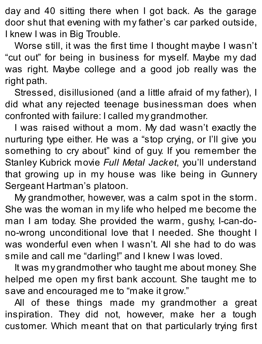day and 40 sitting there when I got back. As the garage door shut that evening with my father's car parked outside, I knew I was in Big Trouble.

Worse still, it was the first time I thought maybe I wasn't "cut out" for being in business for myself. Maybe my dad was right. Maybe college and a good job really was the right path.

Stressed, disillusioned (and a little afraid of my father), I did what any rejected teenage businessman does when confronted with failure: I called my grandmother.

I was raised without a mom. My dad wasn't exactly the nurturing type either. He was a "stop crying, or I'll give you something to cry about" kind of guy. If you remember the Stanley Kubrick movie *Full Metal Jacket*, you'll understand that growing up in my house was like being in Gunnery Sergeant Hartman's platoon.

My grandmother, however, was a calm spot in the storm. She was the woman in my life who helped me become the man I am today. She provided the warm, gushy, I-can-dono-wrong unconditional love that I needed. She thought I was wonderful even when I wasn't. All she had to do was smile and call me "darling!" and I knew I was loved.

It was my grandmother who taught me about money. She helped me open my first bank account. She taught me to save and encouraged me to "make it grow."

All of these things made my grandmother a great inspiration. They did not, however, make her a tough customer. Which meant that on that particularly trying first